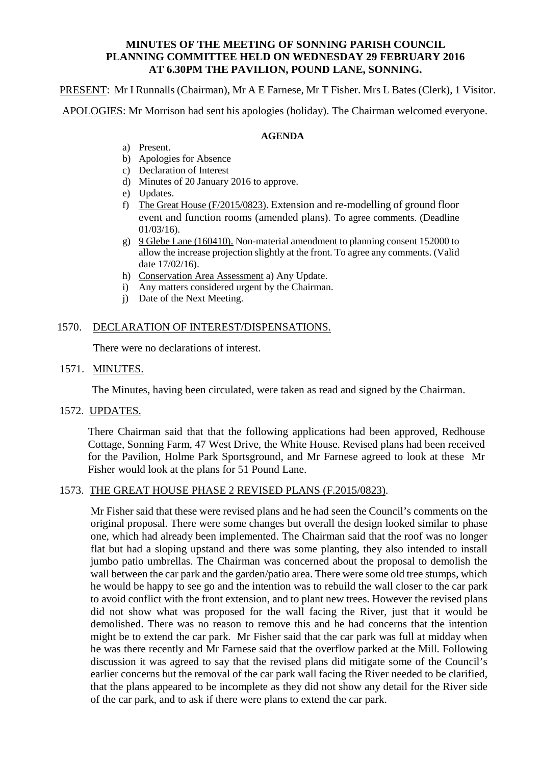### **MINUTES OF THE MEETING OF SONNING PARISH COUNCIL PLANNING COMMITTEE HELD ON WEDNESDAY 29 FEBRUARY 2016 AT 6.30PM THE PAVILION, POUND LANE, SONNING.**

PRESENT: Mr I Runnalls (Chairman), Mr A E Farnese, Mr T Fisher. Mrs L Bates (Clerk), 1 Visitor.

APOLOGIES: Mr Morrison had sent his apologies (holiday). The Chairman welcomed everyone.

#### **AGENDA**

- a) Present.
- b) Apologies for Absence
- c) Declaration of Interest
- d) Minutes of 20 January 2016 to approve.
- e) Updates.
- f) The Great House (F/2015/0823). Extension and re-modelling of ground floor event and function rooms (amended plans). To agree comments. (Deadline 01/03/16).
- g) 9 Glebe Lane (160410). Non-material amendment to planning consent 152000 to allow the increase projection slightly at the front. To agree any comments. (Valid date 17/02/16).
- h) Conservation Area Assessment a) Any Update.
- i) Any matters considered urgent by the Chairman.
- j) Date of the Next Meeting.

### 1570. DECLARATION OF INTEREST/DISPENSATIONS.

There were no declarations of interest.

# 1571. MINUTES.

The Minutes, having been circulated, were taken as read and signed by the Chairman.

1572. UPDATES.

There Chairman said that that the following applications had been approved, Redhouse Cottage, Sonning Farm, 47 West Drive, the White House. Revised plans had been received for the Pavilion, Holme Park Sportsground, and Mr Farnese agreed to look at these Mr Fisher would look at the plans for 51 Pound Lane.

### 1573. THE GREAT HOUSE PHASE 2 REVISED PLANS (F.2015/0823).

Mr Fisher said that these were revised plans and he had seen the Council's comments on the original proposal. There were some changes but overall the design looked similar to phase one, which had already been implemented. The Chairman said that the roof was no longer flat but had a sloping upstand and there was some planting, they also intended to install jumbo patio umbrellas. The Chairman was concerned about the proposal to demolish the wall between the car park and the garden/patio area. There were some old tree stumps, which he would be happy to see go and the intention was to rebuild the wall closer to the car park to avoid conflict with the front extension, and to plant new trees. However the revised plans did not show what was proposed for the wall facing the River, just that it would be demolished. There was no reason to remove this and he had concerns that the intention might be to extend the car park. Mr Fisher said that the car park was full at midday when he was there recently and Mr Farnese said that the overflow parked at the Mill. Following discussion it was agreed to say that the revised plans did mitigate some of the Council's earlier concerns but the removal of the car park wall facing the River needed to be clarified, that the plans appeared to be incomplete as they did not show any detail for the River side of the car park, and to ask if there were plans to extend the car park.